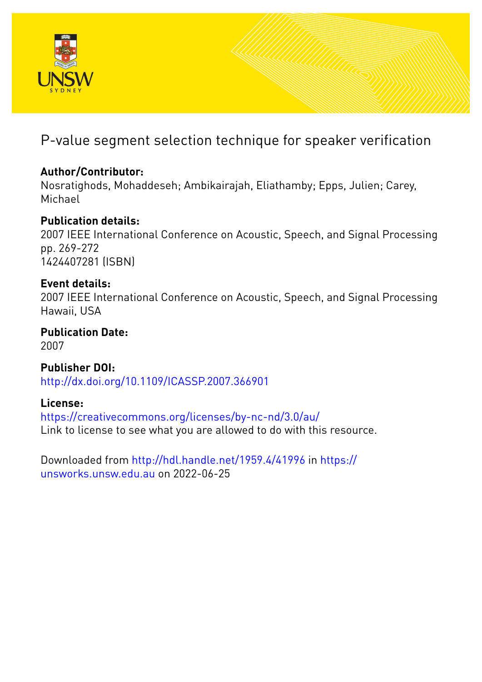

# P-value segment selection technique for speaker verification

# **Author/Contributor:**

Nosratighods, Mohaddeseh; Ambikairajah, Eliathamby; Epps, Julien; Carey, Michael

# **Publication details:**

2007 IEEE International Conference on Acoustic, Speech, and Signal Processing pp. 269-272 1424407281 (ISBN)

# **Event details:**

2007 IEEE International Conference on Acoustic, Speech, and Signal Processing Hawaii, USA

**Publication Date:** 2007

**Publisher DOI:** [http://dx.doi.org/10.1109/ICASSP.2007.366901](http://dx.doi.org/http://dx.doi.org/10.1109/ICASSP.2007.366901)

**License:**

<https://creativecommons.org/licenses/by-nc-nd/3.0/au/> Link to license to see what you are allowed to do with this resource.

Downloaded from <http://hdl.handle.net/1959.4/41996> in [https://](https://unsworks.unsw.edu.au) [unsworks.unsw.edu.au](https://unsworks.unsw.edu.au) on 2022-06-25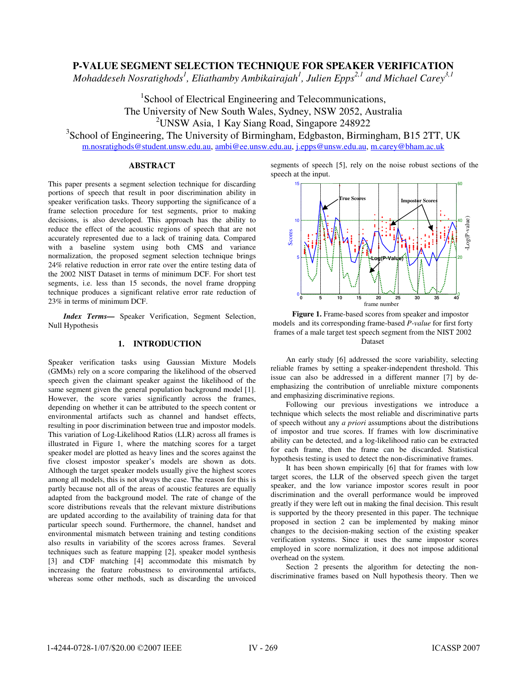# **P-VALUE SEGMENT SELECTION TECHNIQUE FOR SPEAKER VERIFICATION**

Mohaddeseh Nosratighods<sup>1</sup>, Eliathamby Ambikairajah<sup>1</sup>, Julien Epps<sup>2,1</sup> and Michael Carey<sup>3,1</sup>

<sup>1</sup>School of Electrical Engineering and Telecommunications, The University of New South Wales, Sydney, NSW 2052, Australia 2 UNSW Asia, 1 Kay Siang Road, Singapore 248922

<sup>3</sup>School of Engineering, The University of Birmingham, Edgbaston, Birmingham, B15 2TT, UK

m.nosratighods@student.unsw.edu.au, ambi@ee.unsw.edu.au, j.epps@unsw.edu.au, m.carey@bham.ac.uk

## **ABSTRACT**

This paper presents a segment selection technique for discarding portions of speech that result in poor discrimination ability in speaker verification tasks. Theory supporting the significance of a frame selection procedure for test segments, prior to making decisions, is also developed. This approach has the ability to reduce the effect of the acoustic regions of speech that are not accurately represented due to a lack of training data*.* Compared with a baseline system using both CMS and variance normalization, the proposed segment selection technique brings 24% relative reduction in error rate over the entire testing data of the 2002 NIST Dataset in terms of minimum DCF. For short test segments, i.e. less than 15 seconds, the novel frame dropping technique produces a significant relative error rate reduction of 23% in terms of minimum DCF.

*Index Terms—* Speaker Verification, Segment Selection, Null Hypothesis

#### **1. INTRODUCTION**

Speaker verification tasks using Gaussian Mixture Models (GMMs) rely on a score comparing the likelihood of the observed speech given the claimant speaker against the likelihood of the same segment given the general population background model [1]. However, the score varies significantly across the frames, depending on whether it can be attributed to the speech content or environmental artifacts such as channel and handset effects, resulting in poor discrimination between true and impostor models. This variation of Log-Likelihood Ratios (LLR) across all frames is illustrated in Figure 1, where the matching scores for a target speaker model are plotted as heavy lines and the scores against the five closest impostor speaker's models are shown as dots. Although the target speaker models usually give the highest scores among all models, this is not always the case. The reason for this is partly because not all of the areas of acoustic features are equally adapted from the background model. The rate of change of the score distributions reveals that the relevant mixture distributions are updated according to the availability of training data for that particular speech sound. Furthermore, the channel, handset and environmental mismatch between training and testing conditions also results in variability of the scores across frames. Several techniques such as feature mapping [2], speaker model synthesis [3] and CDF matching [4] accommodate this mismatch by increasing the feature robustness to environmental artifacts, whereas some other methods, such as discarding the unvoiced segments of speech [5], rely on the noise robust sections of the speech at the input.



**Figure 1.** Frame-based scores from speaker and impostor models and its corresponding frame-based *P-value* for first forty frames of a male target test speech segment from the NIST 2002 Dataset

An early study [6] addressed the score variability, selecting reliable frames by setting a speaker-independent threshold. This issue can also be addressed in a different manner [7] by deemphasizing the contribution of unreliable mixture components and emphasizing discriminative regions.

Following our previous investigations we introduce a technique which selects the most reliable and discriminative parts of speech without any *a priori* assumptions about the distributions of impostor and true scores. If frames with low discriminative ability can be detected, and a log-likelihood ratio can be extracted for each frame, then the frame can be discarded. Statistical hypothesis testing is used to detect the non-discriminative frames.

It has been shown empirically [6] that for frames with low target scores, the LLR of the observed speech given the target speaker, and the low variance impostor scores result in poor discrimination and the overall performance would be improved greatly if they were left out in making the final decision. This result is supported by the theory presented in this paper. The technique proposed in section 2 can be implemented by making minor changes to the decision-making section of the existing speaker verification systems. Since it uses the same impostor scores employed in score normalization, it does not impose additional overhead on the system.

Section 2 presents the algorithm for detecting the nondiscriminative frames based on Null hypothesis theory. Then we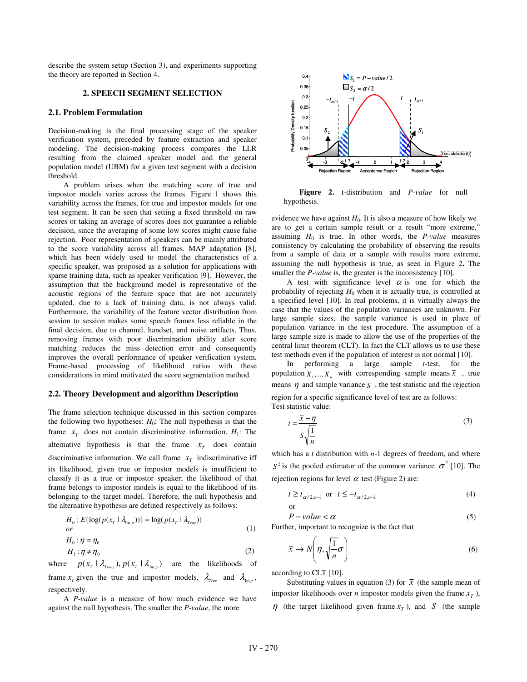describe the system setup (Section 3), and experiments supporting the theory are reported in Section 4.

#### **2. SPEECH SEGMENT SELECTION**

#### **2.1. Problem Formulation**

Decision-making is the final processing stage of the speaker verification system, preceded by feature extraction and speaker modeling. The decision-making process compares the LLR resulting from the claimed speaker model and the general population model (UBM) for a given test segment with a decision threshold.

A problem arises when the matching score of true and impostor models varies across the frames. Figure 1 shows this variability across the frames, for true and impostor models for one test segment. It can be seen that setting a fixed threshold on raw scores or taking an average of scores does not guarantee a reliable decision, since the averaging of some low scores might cause false rejection. Poor representation of speakers can be mainly attributed to the score variability across all frames. MAP adaptation [8], which has been widely used to model the characteristics of a specific speaker, was proposed as a solution for applications with sparse training data, such as speaker verification [9]. However, the assumption that the background model is representative of the acoustic regions of the feature space that are not accurately updated, due to a lack of training data, is not always valid. Furthermore, the variability of the feature vector distribution from session to session makes some speech frames less reliable in the final decision, due to channel, handset, and noise artifacts. Thus, removing frames with poor discrimination ability after score matching reduces the miss detection error and consequently improves the overall performance of speaker verification system. Frame-based processing of likelihood ratios with these considerations in mind motivated the score segmentation method.

#### **2.2. Theory Development and algorithm Description**

The frame selection technique discussed in this section compares the following two hypotheses:  $H_0$ : The null hypothesis is that the frame  $x<sub>T</sub>$  does not contain discriminative information.  $H<sub>1</sub>$ : The alternative hypothesis is that the frame  $x_T$  does contain discriminative information. We call frame  $x<sub>T</sub>$  indiscriminative iff its likelihood, given true or impostor models is insufficient to classify it as a true or impostor speaker; the likelihood of that frame belongs to impostor models is equal to the likelihood of its belonging to the target model. Therefore, the null hypothesis and the alternative hypothesis are defined respectively as follows:

$$
H_0: E\{\log(p(x_T | \lambda_{\text{Im } p}))\} = \log(p(x_T | \lambda_{\text{True}}))
$$
  
or  

$$
H_0: \eta = \eta_0
$$
 (1)

$$
H_0: \eta = \eta_0
$$
  
\n
$$
H_1: \eta \neq \eta_0
$$
\n(2)

where  $p(x_r | \lambda_{true})$ ,  $p(x_r | \lambda_{true})$  are the likelihoods of frame  $x_r$  given the true and impostor models,  $\lambda_{r_{\text{true}}}$  and  $\lambda_{\text{Im }p}$ , respectively.

A *P-value* is a measure of how much evidence we have against the null hypothesis. The smaller the *P-value*, the more



**Figure 2.** t-distribution and *P-value* for null hypothesis.

evidence we have against  $H_0$ . It is also a measure of how likely we are to get a certain sample result or a result "more extreme," assuming  $H_0$  is true. In other words, the  $P-value$  measures consistency by calculating the probability of observing the results from a sample of data or a sample with results more extreme, assuming the null hypothesis is true, as seen in Figure 2**.** The smaller the *P-value* is, the greater is the inconsistency [10].

A test with significance level  $\alpha$  is one for which the probability of rejecting  $H_0$  when it is actually true, is controlled at a specified level [10]. In real problems, it is virtually always the case that the values of the population variances are unknown. For large sample sizes, the sample variance is used in place of population variance in the test procedure. The assumption of a large sample size is made to allow the use of the properties of the central limit theorem (CLT). In fact the CLT allows us to use these test methods even if the population of interest is not normal [10].

In performing a large sample *t*-test, for the population  $X_1, \ldots, X_n$  with corresponding sample means  $\overline{X}$ , true means  $\eta$  and sample variance *S*, the test statistic and the rejection region for a specific significance level of test are as follows: Test statistic value:

$$
t = \frac{\overline{x} - \eta}{S\sqrt{\frac{1}{n}}}
$$
\n(3)

which has a *t* distribution with *n*-1 degrees of freedom, and where  $S^2$  is the pooled estimator of the common variance  $\sigma^2$  [10]. The rejection regions for level  $\alpha$  test (Figure 2) are:

$$
t \ge t_{\alpha/2, n-1} \text{ or } t \le -t_{\alpha/2, n-1}
$$
 (4)

$$
P-value < \alpha \tag{5}
$$

Further, important to recognize is the fact that

$$
\bar{x} \to N\left(\eta, \sqrt{\frac{1}{n}}\sigma\right) \tag{6}
$$

according to CLT [10].

Substituting values in equation (3) for  $\bar{x}$  (the sample mean of impostor likelihoods over *n* impostor models given the frame  $x<sub>r</sub>$ ),  $\eta$  (the target likelihood given frame  $x_T$ ), and *S* (the sample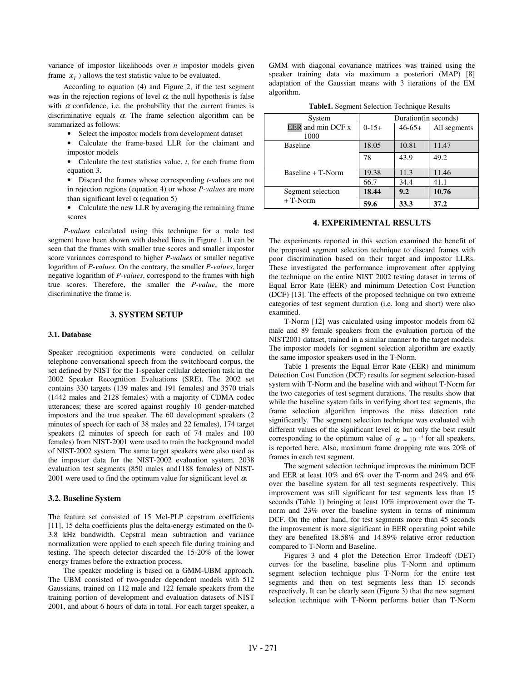variance of impostor likelihoods over *n* impostor models given frame  $x<sub>r</sub>$ ) allows the test statistic value to be evaluated.

According to equation (4) and Figure 2, if the test segment was in the rejection regions of level  $\alpha$ , the null hypothesis is false with  $\alpha$  confidence, i.e. the probability that the current frames is discriminative equals  $\alpha$ . The frame selection algorithm can be summarized as follows:

- Select the impostor models from development dataset
- Calculate the frame-based LLR for the claimant and impostor models

• Calculate the test statistics value, *t*, for each frame from equation 3.

• Discard the frames whose corresponding *t*-values are not in rejection regions (equation 4) or whose *P-values* are more than significant level  $\alpha$  (equation 5)

• Calculate the new LLR by averaging the remaining frame scores

*P-values* calculated using this technique for a male test segment have been shown with dashed lines in Figure 1. It can be seen that the frames with smaller true scores and smaller impostor score variances correspond to higher *P-values* or smaller negative logarithm of *P-values*. On the contrary, the smaller *P-values*, larger negative logarithm of *P-values*, correspond to the frames with high true scores. Therefore, the smaller the *P-value*, the more discriminative the frame is.

#### **3. SYSTEM SETUP**

#### **3.1. Database**

Speaker recognition experiments were conducted on cellular telephone conversational speech from the switchboard corpus, the set defined by NIST for the 1-speaker cellular detection task in the 2002 Speaker Recognition Evaluations (SRE). The 2002 set contains 330 targets (139 males and 191 females) and 3570 trials (1442 males and 2128 females) with a majority of CDMA codec utterances; these are scored against roughly 10 gender-matched impostors and the true speaker. The 60 development speakers (2 minutes of speech for each of 38 males and 22 females), 174 target speakers (2 minutes of speech for each of 74 males and 100 females) from NIST-2001 were used to train the background model of NIST-2002 system. The same target speakers were also used as the impostor data for the NIST-2002 evaluation system. 2038 evaluation test segments (850 males and1188 females) of NIST-2001 were used to find the optimum value for significant level  $\alpha$ .

#### **3.2. Baseline System**

The feature set consisted of 15 Mel-PLP cepstrum coefficients [11], 15 delta coefficients plus the delta-energy estimated on the 0- 3.8 kHz bandwidth. Cepstral mean subtraction and variance normalization were applied to each speech file during training and testing. The speech detector discarded the 15-20% of the lower energy frames before the extraction process.

The speaker modeling is based on a GMM-UBM approach. The UBM consisted of two-gender dependent models with 512 Gaussians, trained on 112 male and 122 female speakers from the training portion of development and evaluation datasets of NIST 2001, and about 6 hours of data in total. For each target speaker, a

GMM with diagonal covariance matrices was trained using the speaker training data via maximum a posteriori (MAP) [8] adaptation of the Gaussian means with 3 iterations of the EM algorithm.

| System                         | Duration (in seconds) |             |              |
|--------------------------------|-----------------------|-------------|--------------|
| <b>EER</b> and min DCF x       | $0-1.5+$              | $46 - 65 +$ | All segments |
| 1000                           |                       |             |              |
| <b>Baseline</b>                | 18.05                 | 10.81       | 11.47        |
|                                | 78                    | 43.9        | 49.2         |
| Baseline + T-Norm              | 19.38                 | 11.3        | 11.46        |
|                                | 66.7                  | 34.4        | 41.1         |
| Segment selection<br>$+T-Norm$ | 18.44                 | 9.2         | 10.76        |
|                                | 59.6                  | 33.3        | 37.2         |

#### **4. EXPERIMENTAL RESULTS**

The experiments reported in this section examined the benefit of the proposed segment selection technique to discard frames with poor discrimination based on their target and impostor LLRs. These investigated the performance improvement after applying the technique on the entire NIST 2002 testing dataset in terms of Equal Error Rate (EER) and minimum Detection Cost Function (DCF) [13]. The effects of the proposed technique on two extreme categories of test segment duration (i.e. long and short) were also examined.

T-Norm [12] was calculated using impostor models from 62 male and 89 female speakers from the evaluation portion of the NIST2001 dataset, trained in a similar manner to the target models. The impostor models for segment selection algorithm are exactly the same impostor speakers used in the T-Norm.

Table 1 presents the Equal Error Rate (EER) and minimum Detection Cost Function (DCF) results for segment selection-based system with T-Norm and the baseline with and without T-Norm for the two categories of test segment durations. The results show that while the baseline system fails in verifying short test segments, the frame selection algorithm improves the miss detection rate significantly. The segment selection technique was evaluated with different values of the significant level  $\alpha$ ; but only the best result corresponding to the optimum value of  $\alpha = 10^{-5}$  for all speakers, is reported here. Also, maximum frame dropping rate was 20% of frames in each test segment.

The segment selection technique improves the minimum DCF and EER at least 10% and 6% over the T-norm and 24% and 6% over the baseline system for all test segments respectively. This improvement was still significant for test segments less than 15 seconds (Table 1) bringing at least 10% improvement over the Tnorm and 23% over the baseline system in terms of minimum DCF. On the other hand, for test segments more than 45 seconds the improvement is more significant in EER operating point while they are benefited 18.58% and 14.89% relative error reduction compared to T-Norm and Baseline.

Figures 3 and 4 plot the Detection Error Tradeoff (DET) curves for the baseline, baseline plus T-Norm and optimum segment selection technique plus T-Norm for the entire test segments and then on test segments less than 15 seconds respectively. It can be clearly seen (Figure 3) that the new segment selection technique with T-Norm performs better than T-Norm